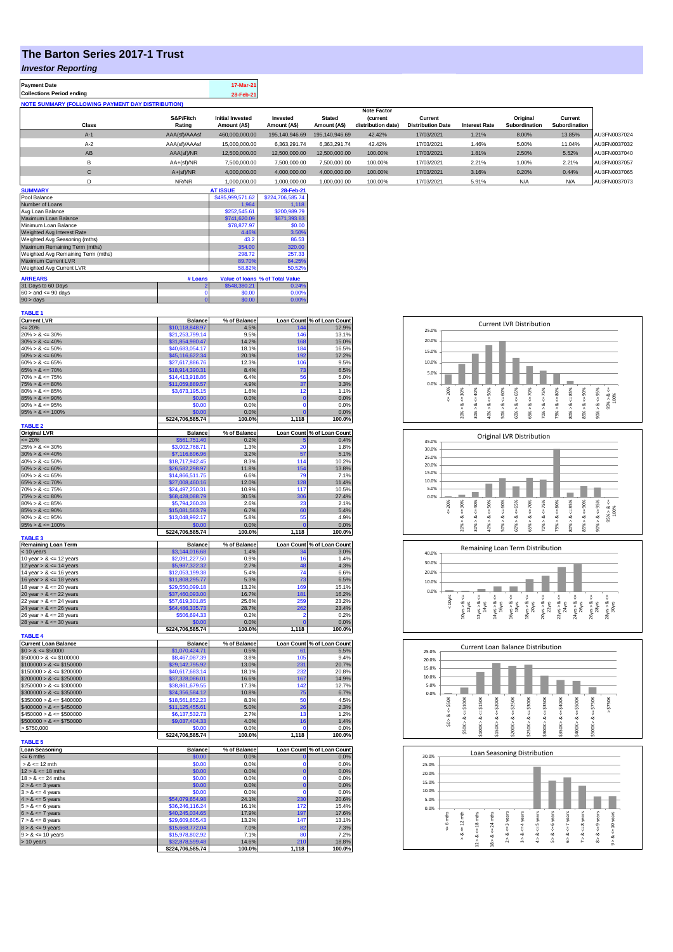## **The Barton Series 2017-1 Trust**

## *Investor Reporting*

| <b>Payment Date</b>                                      | 17-Mar-21 |
|----------------------------------------------------------|-----------|
| <b>Collections Period ending</b>                         | 28-Feb-21 |
| <b>NOTE SUMMARY (FOLLOWING PAYMENT DAY DISTRIBUTION)</b> |           |

|              |               |                         |                |                | <b>Note Factor</b> |                          |                      |               |               |              |
|--------------|---------------|-------------------------|----------------|----------------|--------------------|--------------------------|----------------------|---------------|---------------|--------------|
|              | S&P/Fitch     | <b>Initial Invested</b> | Invested       | <b>Stated</b>  | <b>(current</b>    | Current                  |                      | Original      | Current       |              |
| Class        | Rating        | Amount (A\$)            | Amount (A\$)   | Amount (A\$)   | distribution date) | <b>Distribution Date</b> | <b>Interest Rate</b> | Subordination | Subordination |              |
| $A-1$        | AAA(sf)/AAAsf | 460.000.000.00          | 195.140.946.69 | 195.140.946.69 | 42.42%             | 17/03/2021               | 1.21%                | 8.00%         | 13.85%        | AU3FN0037024 |
| $A-2$        | AAA(sf)/AAAsf | 15,000,000,00           | 6.363.291.74   | 6.363.291.74   | 42.42%             | 17/03/2021               | 1.46%                | 5.00%         | 11.04%        | AU3FN0037032 |
| AB           | AAA(sf)/NR    | 12,500,000.00           | 12.500.000.00  | 12.500.000.00  | 100.00%            | 17/03/2021               | 1.81%                | 2.50%         | 5.52%         | AU3FN0037040 |
| в            | $AA+(sf)/NR$  | 7.500.000.00            | 7.500.000.00   | 7.500.000.00   | 100.00%            | 17/03/2021               | 2.21%                | 1.00%         | 2.21%         | AU3FN0037057 |
| $\mathsf{C}$ | $A+(sf)/NR$   | 4.000.000.00            | 4.000.000.00   | 4.000.000.00   | 100.00%            | 17/03/2021               | 3.16%                | 0.20%         | 0.44%         | AU3FN0037065 |
|              | NR/NR         | 1,000,000.00            | 1,000,000.00   | 1,000,000.00   | 100.00%            | 17/03/2021               | 5.91%                | N/A           | N/A           | AU3FN0037073 |
| ------------ |               | -----------             |                |                |                    |                          |                      |               |               |              |

| <b>SUMMARY</b>                     |         | <b>AT ISSUE</b>  | 28-Feb-21                       |
|------------------------------------|---------|------------------|---------------------------------|
| Pool Balance                       |         | \$495,999,571.62 | \$224.706.585.74                |
| Number of Loans                    |         | 1.964            | 1.118                           |
| Avg Loan Balance                   |         | \$252,545.61     | \$200,989.79                    |
| Maximum Loan Balance               |         | \$741,620.09     | \$671,393.83                    |
| Minimum Loan Balance               |         | \$78,877.97      | \$0.00                          |
| Weighted Avg Interest Rate         |         | 4.46%            | 3.50%                           |
| Weighted Avg Seasoning (mths)      |         | 43.2             | 86.53                           |
| Maximum Remaining Term (mths)      |         | 354.00           | 320.00                          |
| Weighted Avg Remaining Term (mths) |         | 298.72           | 257.33                          |
| Maximum Current LVR                |         | 89.70%           | 84.25%                          |
| Weighted Avg Current LVR           |         | 58.82%           | 50.52%                          |
| <b>ARREARS</b>                     | # Loans |                  | Value of Ioans % of Total Value |
| 31 Days to 60 Days                 |         | \$548,380.21     | 0.24%                           |
| $60 >$ and $\leq 90$ days          |         | \$0.00           | 0.00%                           |
| $90 > \text{days}$                 |         | \$0.00           | 0.00%                           |

| <b>TABLE 1</b>                                           |                                    |                |                      |                            |
|----------------------------------------------------------|------------------------------------|----------------|----------------------|----------------------------|
| <b>Current LVR</b>                                       | <b>Balance</b>                     | % of Balance   |                      | Loan Count % of Loan Count |
| $= 20%$                                                  | \$10,118,848.97                    | 4.5%           | 144                  | 12.9%                      |
| $20\% > 8 \le 30\%$                                      | \$21,253,799.14                    | 9.5%           | 146                  | 13.1%                      |
| $30\% > 8 \le 40\%$                                      | \$31,854,980.47                    | 14.2%          | 168<br>184           | 15.0%                      |
| $40\% > 8 \le 50\%$<br>$50\% > 8 \le 60\%$               | \$40,683,054.17<br>\$45,116,622.34 | 18.1%<br>20.1% | 192                  | 16.5%<br>17.2%             |
| $60\% > 8 \le 65\%$                                      | \$27,617,886.76                    | 12.3%          | 106                  | 9.5%                       |
| $65\% > 8 \le 70\%$                                      | \$18,914,390.31                    | 8.4%           | 73                   | 6.5%                       |
| $70\% > 8 \le 75\%$                                      | \$14,413,918,86                    | 6.4%           | 56                   | 5.0%                       |
| $75\% > 8 \le 80\%$                                      | \$11,059,889.57                    | 4.9%           | 37                   | 3.3%                       |
| $80\% > 8 \le 85\%$                                      | \$3,673,195.15                     | 1.6%           | 12                   | 1.1%                       |
| $85\% > 8 \le 90\%$                                      | \$0.00                             | 0.0%           | $\mathbf 0$          | 0.0%                       |
| $90\% > 8 \le 95\%$                                      | \$0.00                             | 0.0%           | $\Omega$             | 0.0%                       |
| $95\% > 8 \le 100\%$                                     | \$0.00                             | 0.0%           | $\Omega$             | 0.0%                       |
|                                                          | \$224,706,585.74                   | 100.0%         | 1,118                | 100.0%                     |
| <b>TABLE 2</b><br><b>Original LVR</b>                    | <b>Balance</b>                     | % of Balance   |                      | Loan Count % of Loan Count |
| $= 20%$                                                  | \$561,751.40                       | 0.2%           | F                    | 0.4%                       |
| $25\% > 8 \le 30\%$                                      | \$3,002,768.71                     | 1.3%           | 20                   | 1.8%                       |
| $30\% > 8 \le 40\%$                                      | \$7,116,696.96                     | 3.2%           | 57                   | 5.1%                       |
| $40\% > 8 \le 50\%$                                      | \$18,717,942.45                    | 8.3%           | 114                  | 10.2%                      |
| $50\% > 8 \le 60\%$                                      | \$26,582,298.97                    | 11.8%          | 154                  | 13.8%                      |
| $60\% > 8 \le 65\%$                                      | \$14,866,511.75                    | 6.6%           | 7 <sup>c</sup>       | 7.1%                       |
| $65\% > 8 \le 70\%$                                      | \$27.008.460.16                    | 12.0%          | 128                  | 11.4%                      |
| $70\% > 8 \le 75\%$                                      | \$24.497.250.31                    | 10.9%          | 117                  | 10.5%                      |
| $75\% > 8 \le 80\%$                                      | \$68,428,088.79                    | 30.5%          | 306                  | 27.4%                      |
| $80\% > 8 \le 85\%$                                      | \$5,794,260.28                     | 2.6%           | 23                   | 2.1%                       |
| $85\% > 8 \le 90\%$<br>$90\% > 8 \le 95\%$               | \$15,081,563.79<br>\$13,048,992.17 | 6.7%<br>5.8%   | 60                   | 5.4%<br>4.9%               |
| $95\% > 8 \le 100\%$                                     | \$0.00                             | 0.0%           | 55<br>$\overline{0}$ | 0.0%                       |
|                                                          | \$224,706,585.74                   | 100.0%         | 1,118                | 100.0%                     |
| <b>TABLE 3</b>                                           |                                    |                |                      |                            |
| Remaining Loan Term                                      | <b>Balance</b>                     | % of Balance   |                      | Loan Count % of Loan Count |
| < 10 years                                               | \$3,144,016.68                     | 1.4%           |                      | 3.0%                       |
| 10 year $> 8 \le 12$ years                               | \$2,091,227.50                     | 0.9%           | 16<br>48             | 1.4%                       |
| 12 year $> 8 \le 14$ years<br>14 year $> 8 \le 16$ years | \$5,987,322.32<br>\$12,053,199.38  | 2.7%<br>5.4%   | 74                   | 4.3%<br>6.6%               |
| 16 year $> 8 \le 18$ years                               | \$11,808,295.77                    | 5.3%           | 73                   | 6.5%                       |
| 18 year $> 8 \le 20$ years                               | \$29,550,099.18                    | 13.2%          | 169                  | 15.1%                      |
| 20 year $> 8 \le 22$ years                               | \$37,460,093.00                    | 16.7%          | 181                  | 16.2%                      |
| 22 year $> 8 \le 24$ years                               | \$57,619,301.85                    | 25.6%          | 259                  | 23.2%                      |
| 24 year $> 8 \le 26$ years                               | \$64,486,335.73                    | 28.7%          | 262                  | 23.4%                      |
| 26 year $> 8 \le 28$ years                               | \$506,694.33                       | 0.2%           | 2                    | 0.2%                       |
| 28 year $> 8 \le 30$ years                               | \$0.00                             | 0.0%           | $\overline{0}$       | 0.0%                       |
|                                                          | \$224,706,585.74                   | 100.0%         | 1,118                | 100.0%                     |
| <b>TABLE 4</b>                                           |                                    |                |                      |                            |
| <b>Current Loan Balance</b>                              | <b>Balance</b>                     | % of Balance   |                      | Loan Count % of Loan Count |
| $$0 > 8 \le $50000$<br>$$50000 > 8 \le $100000$          | \$1,070,424.71<br>\$8,467,087.39   | 0.5%<br>3.8%   | 61<br>105            | 5.5%<br>9.4%               |
| $$100000 > 8 \le $150000$                                | \$29,142,795.92                    | 13.0%          | 231                  | 20.7%                      |
| $$150000 > 8 \le $200000$                                | \$40,617,683.14                    | 18.1%          | 232                  | 20.8%                      |
| $$200000 > 8 \leq $250000$                               | \$37,328,086.01                    | 16.6%          | 167                  | 14.9%                      |
| $$250000 > 8 \leq $300000$                               | \$38,861,679.55                    | 17.3%          | 142                  | 12.7%                      |
| $$300000 > 8 \leq $350000$                               | \$24,356,584.12                    | 10.8%          | 75                   | 6.7%                       |
| $$350000 > 8 \le $400000$                                | \$18,561,852.23                    | 8.3%           | 50                   | 4.5%                       |
| $$400000 > 8 \le $450000$                                | \$11,125,455.61                    | 5.0%           | 26                   | 2.3%                       |
| $$450000 > 8 \le $500000$                                | \$6,137,532.73                     | 2.7%           | 13                   | 1.2%                       |
| $$500000 > 8 \le $750000$                                | \$9,037,404.33                     | 4.0%           | 16                   | 1.4%                       |
| > \$750,000                                              | \$0.00                             | 0.0%           | 0                    | 0.0%                       |
| <b>TABLE 5</b>                                           | \$224,706,585.74                   | 100.0%         | 1,118                | 100.0%                     |
| <b>Loan Seasoning</b>                                    | <b>Balance</b>                     | % of Balance   |                      | Loan Count % of Loan Count |
| $= 6$ mths                                               | \$0.00                             | 0.0%           | $\mathbf{0}$         | 0.0%                       |
| $> 8 \le 12$ mth                                         | \$0.00                             | 0.0%           | $\Omega$             | 0.0%                       |
| $12 > 8 \le 18$ mths                                     | \$0.00                             | 0.0%           | $\bf{0}$             | 0.0%                       |
| $18 > 8 \le 24$ mths                                     | \$0.00                             | 0.0%           | $\Omega$             | 0.0%                       |
| $2 > 8 \le 3$ years                                      | \$0.00                             | 0.0%           | $\overline{0}$       | 0.0%                       |
| $3 > 8 \leq 4$ years                                     | \$0.00                             | 0.0%           | $\mathbf 0$          | 0.0%                       |
| $4 > 8 \le 5$ years                                      | \$54,079,654.98                    | 24.1%          | 230                  | 20.6%                      |
| $5 > 8 \le 6$ years                                      | \$36,246,116.24                    | 16.1%          | 172                  | 15.4%                      |
| $6 > 8 \le 7$ years                                      | \$40,245,034.65                    | 17.9%          | 197                  | 17.6%                      |
| $7 > 8 \le 8$ years                                      | \$29,609,605.43                    | 13.2%          | 147                  | 13.1%                      |
| $8 > 8 \le 9$ years                                      | \$15,668,772.04                    | 7.0%           | 82<br>80             | 7.3%<br>7.2%               |
| $9 > 8 \le 10$ years<br>> 10 years                       | \$15,978,802.92<br>\$32,878,599.48 | 7.1%<br>14.6%  | 210                  | 18.8%                      |
|                                                          | \$224,706,585.74                   | 100.0%         | 1,118                | 100.0%                     |
|                                                          |                                    |                |                      |                            |



 $<$ = 6 mths > & <= 12 mth  $12 > 8 \Leftarrow 18$  mths  $18 > 8 \Leftarrow 24$  mths  $2 > 8 < x = 3$  years  $3 > 8 < -4$  years  $4 > 8 < z = 5$  years  $5 > 8 < = 6$  years  $6 > 8 < x = 7$  years  $7 > 8 <$  = 8 years  $8 > 8 < = 9$  years 9 > & <= 10 years

 $2 > 8$   $\Leftarrow$  18 mths  $8 > 8 \Leftarrow 24$  mths  $2 > 8 < = 3$  years  $3 > 8 < 4$  years  $4 > 8 < z = 5$  years  $5 > 8 < = 6$  years  $6 > 8 < z < 7$  years  $7 > 8 < = 8$  years  $8 > 8 < = 9$  years  $9 > 8 < 10$  years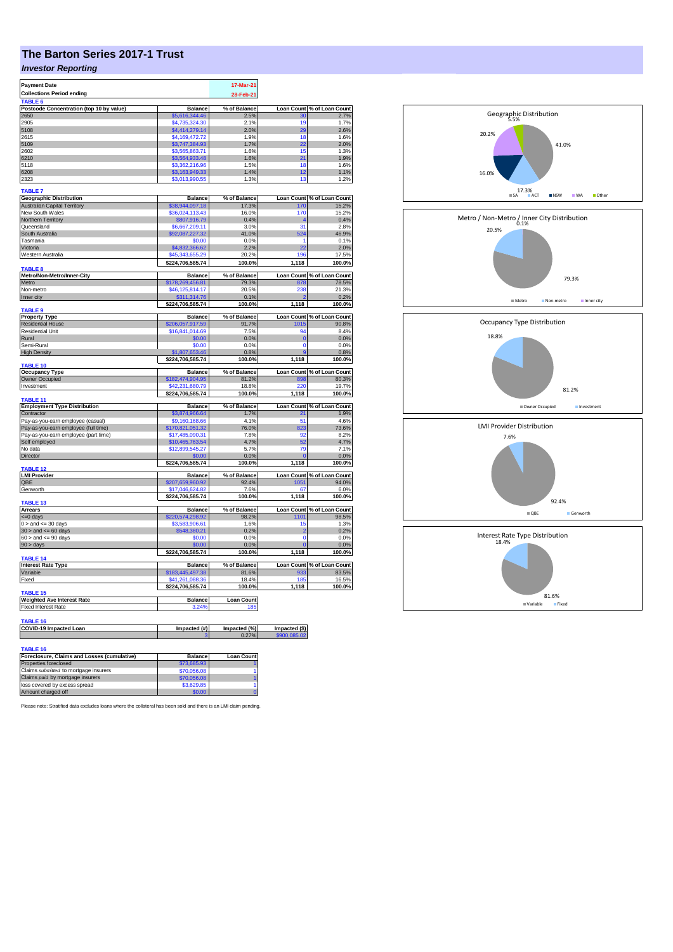## **The Barton Series 2017-1 Trust**

## *Investor Reporting*

| <b>Payment Date</b>                                             |                                     | 17-Mar-21                |                   |                                       |
|-----------------------------------------------------------------|-------------------------------------|--------------------------|-------------------|---------------------------------------|
| <b>Collections Period ending</b>                                |                                     | 28-Feb-21                |                   |                                       |
| TABLE 6                                                         |                                     |                          |                   |                                       |
| Postcode Concentration (top 10 by value)                        | <b>Balance</b>                      | % of Balance             | <b>Loan Count</b> | % of Loan Count<br>2.7%               |
| 2650                                                            | \$5.616.344.46                      | 2.5%                     | 30                |                                       |
| 2905                                                            | \$4,735,324.30                      | 2.1%                     | 19                | 1.7%                                  |
| 5108                                                            | \$4,414,279.14                      | 2.0%                     | 29                | 2.6%                                  |
| 2615                                                            | \$4,169,472.72                      | 1.9%                     | 18                | 1.6%                                  |
| 5109                                                            | \$3,747,384.93                      | 1.7%                     | 22<br>15          | 2.0%                                  |
| 2602<br>6210                                                    | \$3,565,863.71                      | 1.6%<br>1.6%             | 21                | 1.3%<br>1.9%                          |
| 5118                                                            | \$3,564,933.48<br>\$3,362,216.96    | 1.5%                     | 18                | 1.6%                                  |
| 6208                                                            | \$3,163,949.33                      | 1.4%                     | 12                | 1.1%                                  |
| 2323                                                            | \$3,013,990.55                      | 1.3%                     | 13                | 1.2%                                  |
|                                                                 |                                     |                          |                   |                                       |
| <b>TABLE 7</b>                                                  |                                     |                          |                   |                                       |
| <b>Geographic Distribution</b>                                  | <b>Balance</b>                      | % of Balance             | <b>Loan Count</b> | % of Loan Count                       |
| <b>Australian Capital Territory</b>                             | \$38,944,097.18                     | 17.3%                    | 170               | 15.2%                                 |
| New South Wales                                                 | \$36,024,113.43                     | 16.0%                    | 170               | 15.2%                                 |
| Northern Territory<br>Queensland                                | \$807,916.79<br>\$6,667,209.11      | 0.4%<br>3.0%             | 4<br>31           | 0.4%<br>2.8%                          |
| South Australia                                                 | \$92,087,227.32                     | 41.0%                    | 524               | 46.9%                                 |
| Tasmania                                                        | \$0.00                              | 0.0%                     | 1                 | 0.1%                                  |
| Victoria                                                        | \$4,832,366.62                      | 2.2%                     | 22                | 2.0%                                  |
| Western Australia                                               | \$45,343,655.29                     | 20.2%                    | 196               | 17.5%                                 |
|                                                                 | \$224,706,585.74                    | 100.0%                   | 1,118             | 100.0%                                |
| <b>TABLE 8</b>                                                  |                                     |                          |                   |                                       |
| Metro/Non-Metro/Inner-City                                      | <b>Balance</b>                      | % of Balance             | <b>Loan Count</b> | % of Loan Count                       |
| Metro                                                           | \$178,269,456.81                    | 79.3%                    | 878               | 78.5%                                 |
| Non-metro                                                       | \$46,125,814.17                     | 20.5%                    | 238               | 21.3%                                 |
| Inner city                                                      | \$311,314.76                        | 0.1%                     |                   | 0.2%                                  |
|                                                                 | \$224,706,585.74                    | 100.0%                   | 1,118             | 100.0%                                |
| <b>TABLE 9</b>                                                  |                                     |                          |                   |                                       |
| <b>Property Type</b>                                            | <b>Balance</b>                      | % of Balance             |                   | Loan Count % of Loan Count            |
| <b>Residential House</b>                                        | \$206,057,917.59                    | 91.7%                    | 1015              | 90.8%                                 |
| <b>Residential Unit</b>                                         | \$16,841,014.69                     | 7.5%                     | 94                | 8.4%                                  |
| Rural                                                           | \$0.00                              | 0.0%                     | $\overline{0}$    | 0.0%                                  |
| Semi-Rural                                                      | \$0.00                              | 0.0%                     | $\mathbf 0$       | 0.0%                                  |
| <b>High Density</b>                                             | \$1,807,653.46                      | 0.8%                     |                   | 0.8%                                  |
| TABLE 10                                                        | \$224,706,585.74                    | 100.0%                   | 1,118             | 100.0%                                |
| <b>Occupancy Type</b>                                           | <b>Balance</b>                      | % of Balance             |                   | Loan Count % of Loan Count            |
| <b>Owner Occupied</b>                                           | \$182,474,904.95                    | 81.2%                    | 898               | 80.3%                                 |
|                                                                 |                                     |                          |                   |                                       |
|                                                                 |                                     |                          |                   |                                       |
| Investment                                                      | \$42,231,680.79                     | 18.8%                    | 220               | 19.7%                                 |
| <b>TABLE 11</b>                                                 | \$224,706,585.74                    | 100.0%                   | 1,118             | 100.0%                                |
| <b>Employment Type Distribution</b>                             | <b>Balance</b>                      | % of Balance             |                   | Loan Count % of Loan Count            |
| Contractor                                                      | \$3,874,966.64                      | 1.7%                     | 21                | 1.9%                                  |
| Pay-as-you-earn employee (casual)                               | \$9,160,168.66                      | 4.1%                     | 51                |                                       |
| Pay-as-you-earn employee (full time)                            | \$170,821,051.32                    | 76.0%                    | 823               |                                       |
| Pay-as-you-earn employee (part time)                            | \$17,485,090.31                     | 7.8%                     | 92                |                                       |
| Self employed                                                   | \$10,465,763.54                     | 4.7%                     | 52                |                                       |
| No data                                                         | \$12,899,545.27                     | 5.7%                     | 79                | 4.6%<br>73.6%<br>8.2%<br>4.7%<br>7.1% |
| Director                                                        | \$0.00                              | 0.0%                     |                   |                                       |
|                                                                 | \$224,706,585.74                    | 100.0%                   | 1,118             |                                       |
| TABLE 12                                                        |                                     |                          |                   | 0.0%<br>100.0%                        |
| <b>LMI Provider</b>                                             | <b>Balance</b>                      | % of Balance             | 1051              |                                       |
| QBE                                                             | \$207,659,960.92                    | 92.4%                    |                   | Loan Count % of Loan Count<br>94.0%   |
| Genworth                                                        | \$17,046,624.82<br>\$224,706,585.74 | 7.6%<br>100.0%           | 67<br>1.118       | 6.0%<br>100.0%                        |
| TABLE 13                                                        |                                     |                          |                   |                                       |
| <b>Arrears</b>                                                  | <b>Balance</b>                      | % of Balance             | <b>Loan Count</b> | % of Loan Count                       |
| <= 0 days                                                       | \$220,574,298.92                    | 98.2%                    | 1101              | 98.5%                                 |
| $0 >$ and $\leq 30$ days                                        | \$3,583,906.61                      | 1.6%                     | 15                | 1.3%                                  |
| $30 >$ and $\leq 60$ days                                       | \$548,380.21                        | 0.2%                     | $\overline{2}$    | 0.2%                                  |
| $60 >$ and $\leq 90$ days                                       | \$0.00                              | 0.0%                     | $\Omega$          | 0.0%                                  |
| $90 > \text{days}$                                              | \$0.00                              | 0.0%                     | $\Omega$          | 0.0%                                  |
|                                                                 | \$224,706,585.74                    | 100.0%                   | 1,118             | 100.0%                                |
| TABLE 14                                                        |                                     |                          |                   |                                       |
| <b>Interest Rate Type</b>                                       | <b>Balance</b>                      | % of Balance             |                   | Loan Count % of Loan Count            |
| Variable                                                        | \$183,445,497.38                    | 81.6%                    | 933               |                                       |
| Fixed                                                           | \$41,261,088.36                     | 18.4%                    | 185<br>1.118      | 83.5%<br>16.5%                        |
| <b>TABLE 15</b>                                                 | \$224,706,585.74                    | 100.0%                   |                   |                                       |
|                                                                 | <b>Balance</b>                      |                          |                   |                                       |
| <b>Weighted Ave Interest Rate</b><br><b>Fixed Interest Rate</b> | 3.24%                               | <b>Loan Count</b><br>185 |                   |                                       |
|                                                                 |                                     |                          |                   |                                       |
| TABLE 16                                                        |                                     |                          |                   | 100.0%                                |
| <b>COVID-19 Impacted Loan</b>                                   | Impacted (#)                        | Impacted (%)             | Impacted (\$)     |                                       |
|                                                                 |                                     | 0.27%                    | \$900,085.02      |                                       |
|                                                                 |                                     |                          |                   |                                       |
| <b>TABLE 16</b><br>Foreclosure, Claims and Losses (cumulative)  | <b>Balance</b>                      | <b>Loan Count</b>        |                   |                                       |

| \$73,685.93 |                                     |
|-------------|-------------------------------------|
|             |                                     |
| \$70,056.08 |                                     |
|             |                                     |
|             |                                     |
|             |                                     |
|             | \$70,056.08<br>\$3,629.85<br>\$0.00 |

Please note: Stratified data excludes loans where the collateral has been sold and there is an LMI claim pending.